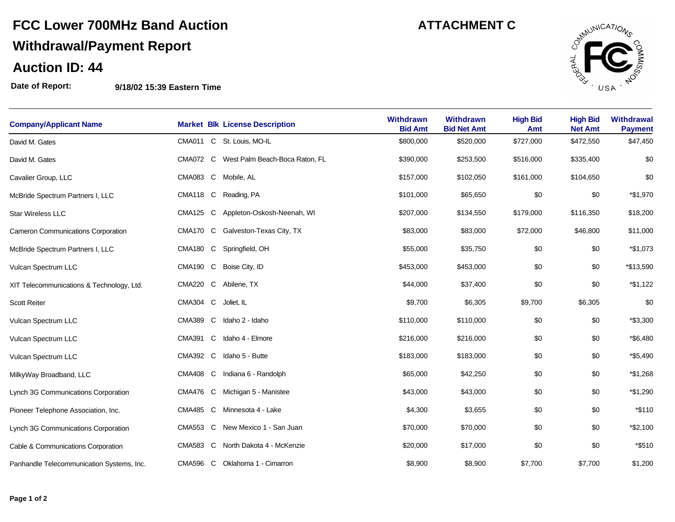## **FCC Lower 700MHz Band Auction ATTACHMENT C Withdrawal/Payment Report**

#### **Auction ID: 44**

**Date of Report: 9/18/02 15:39 Eastern Time**

|                                           | $3119702$ 10.00 LUSTON THIS             |                                    |                                        |                        |                                   |                                     |
|-------------------------------------------|-----------------------------------------|------------------------------------|----------------------------------------|------------------------|-----------------------------------|-------------------------------------|
| <b>Company/Applicant Name</b>             | <b>Market Blk License Description</b>   | <b>Withdrawn</b><br><b>Bid Amt</b> | <b>Withdrawn</b><br><b>Bid Net Amt</b> | <b>High Bid</b><br>Amt | <b>High Bid</b><br><b>Net Amt</b> | <b>Withdrawal</b><br><b>Payment</b> |
| David M. Gates                            | CMA011 C St. Louis, MO-IL               | \$800,000                          | \$520,000                              | \$727,000              | \$472,550                         | \$47,450                            |
| David M. Gates                            | CMA072 C West Palm Beach-Boca Raton, FL | \$390,000                          | \$253,500                              | \$516,000              | \$335,400                         | \$0                                 |
| Cavalier Group, LLC                       | CMA083 C Mobile, AL                     | \$157,000                          | \$102,050                              | \$161,000              | \$104,650                         | \$0                                 |
| McBride Spectrum Partners I, LLC          | CMA118 C Reading, PA                    | \$101,000                          | \$65,650                               | \$0                    | \$0                               | *\$1,970                            |
| <b>Star Wireless LLC</b>                  | CMA125 C Appleton-Oskosh-Neenah, WI     | \$207,000                          | \$134,550                              | \$179,000              | \$116,350                         | \$18,200                            |
| <b>Cameron Communications Corporation</b> | CMA170 C Galveston-Texas City, TX       | \$83,000                           | \$83,000                               | \$72,000               | \$46,800                          | \$11,000                            |
| McBride Spectrum Partners I, LLC          | CMA180 C Springfield, OH                | \$55,000                           | \$35,750                               | \$0                    | \$0                               | *\$1,073                            |
| Vulcan Spectrum LLC                       | CMA190 C Boise City, ID                 | \$453,000                          | \$453,000                              | \$0                    | \$0                               | *\$13,590                           |
| XIT Telecommunications & Technology, Ltd. | CMA220 C Abilene, TX                    | \$44,000                           | \$37,400                               | \$0                    | \$0                               | *\$1,122                            |
| Scott Reiter                              | CMA304 C<br>Joliet, IL                  | \$9,700                            | \$6,305                                | \$9,700                | \$6,305                           | \$0                                 |
| Vulcan Spectrum LLC                       | CMA389 C Idaho 2 - Idaho                | \$110,000                          | \$110,000                              | \$0                    | \$0                               | *\$3,300                            |

12 Vulcan Spectrum LLC **12 12 12** CMA391 C Idaho 4 - Elmore **12 12 5216,000** \$216,000 \$216,000 \$0 \$0 \$0 **\$6,480** 135,000 \$183,000 \$0 \$0 \$0 \$183,000 \$183,000 \$183,000 \$0 \$183,000 \$0 \$0 \$183,000 \$0 \$183,000 \$0 \$0 \$0 \$0 \$1 \$5,490 MilkyWay Broadband, LLC **CMA408 C** Indiana 6 - Randolph **\$65,000** \$42,250 \$0 \$0 \$0 \$1,268 Lynch 3G Communications Corporation **CMA476 C Michigan 5 - Manistee**  $$43,000$   $$43,000$   $$0$   $$0$   $$0$   $$1,290$ Pioneer Telephone Association, Inc. **16**CMA485 C Minnesota 4 - Lake \$4,300 \$3,655 \$0 \$0 \$0 \$110 Lynch 3G Communications Corporation **CMA553 C New Mexico 1 - San Juan**  $$70,000$  $$70,000$  **\$0**  $$0$  $$9$  $$2,100$ Cable & Communications Corporation **CMA583 C North Dakota 4 - McKenzie** \$20,000 \$17,000 \$0 \$0 \$0  $*$ \$510 Panhandle Telecommunication Systems, Inc. CMA596 C Oklahoma 1 - Cimarron \$8,900 \$8,900 \$8,900 \$7,700 \$7,700 \$1,200